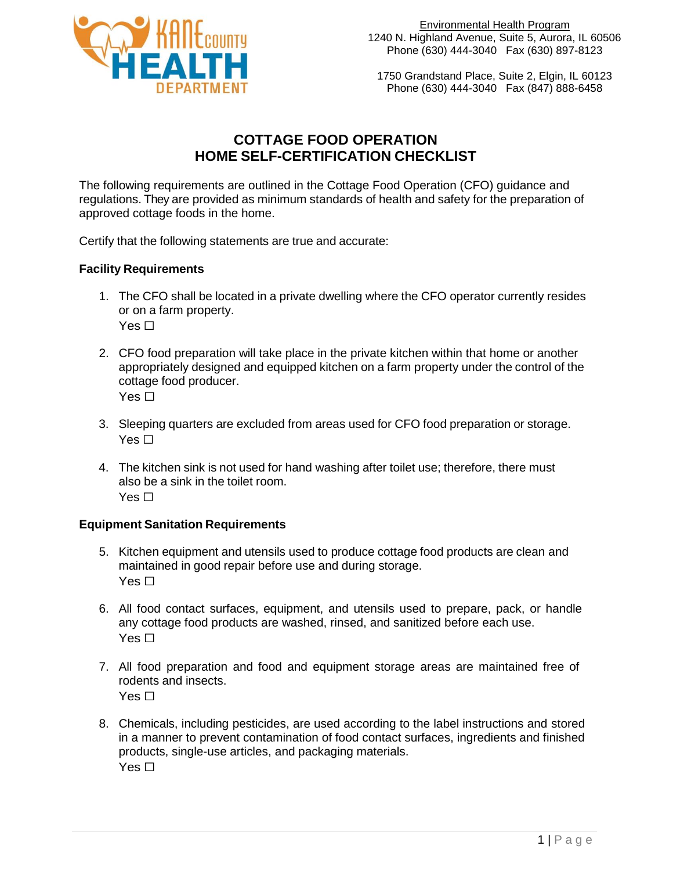

1750 Grandstand Place, Suite 2, Elgin, IL 60123 Phone (630) 444-3040 Fax (847) 888-6458

# **COTTAGE FOOD OPERATION HOME SELF-CERTIFICATION CHECKLIST**

The following requirements are outlined in the Cottage Food Operation (CFO) guidance and regulations. They are provided as minimum standards of health and safety for the preparation of approved cottage foods in the home.

Certify that the following statements are true and accurate:

### **Facility Requirements**

- 1. The CFO shall be located in a private dwelling where the CFO operator currently resides or on a farm property. Yes  $\Box$
- 2. CFO food preparation will take place in the private kitchen within that home or another appropriately designed and equipped kitchen on a farm property under the control of the cottage food producer. Yes  $\Box$
- 3. Sleeping quarters are excluded from areas used for CFO food preparation or storage. Yes  $\Box$
- 4. The kitchen sink is not used for hand washing after toilet use; therefore, there must also be a sink in the toilet room. Yes  $\Box$

#### **Equipment Sanitation Requirements**

- 5. Kitchen equipment and utensils used to produce cottage food products are clean and maintained in good repair before use and during storage. Yes  $\Box$
- 6. All food contact surfaces, equipment, and utensils used to prepare, pack, or handle any cottage food products are washed, rinsed, and sanitized before each use. Yes  $\Box$
- 7. All food preparation and food and equipment storage areas are maintained free of rodents and insects. Yes □
- 8. Chemicals, including pesticides, are used according to the label instructions and stored in a manner to prevent contamination of food contact surfaces, ingredients and finished products, single-use articles, and packaging materials. Yes  $\Box$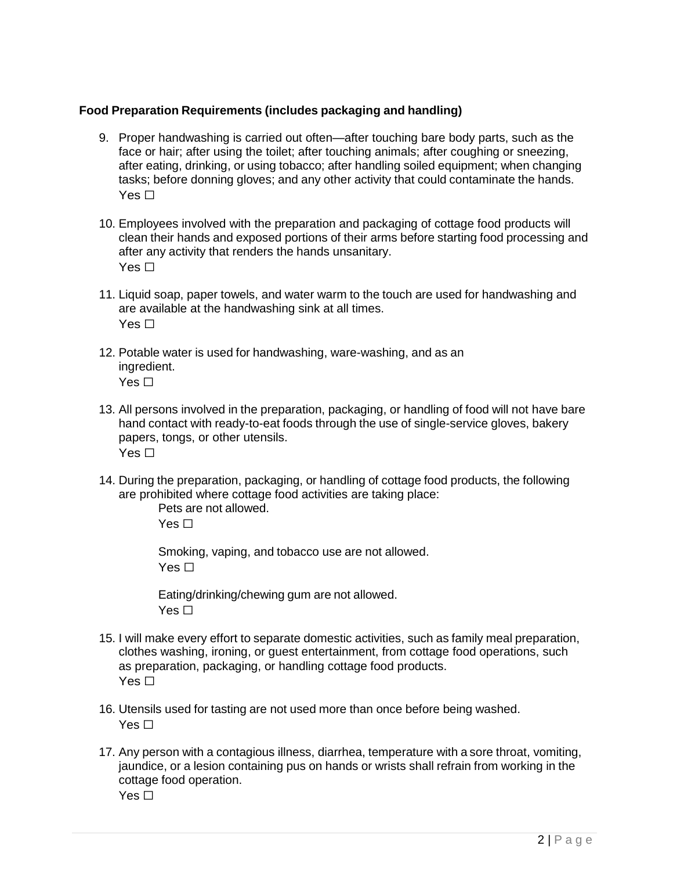#### **Food Preparation Requirements (includes packaging and handling)**

- 9. Proper handwashing is carried out often—after touching bare body parts, such as the face or hair; after using the toilet; after touching animals; after coughing or sneezing, after eating, drinking, or using tobacco; after handling soiled equipment; when changing tasks; before donning gloves; and any other activity that could contaminate the hands. Yes  $\Box$
- 10. Employees involved with the preparation and packaging of cottage food products will clean their hands and exposed portions of their arms before starting food processing and after any activity that renders the hands unsanitary. Yes  $\Box$
- 11. Liquid soap, paper towels, and water warm to the touch are used for handwashing and are available at the handwashing sink at all times. Yes  $\Box$
- 12. Potable water is used for handwashing, ware-washing, and as an ingredient. Yes  $\Box$
- 13. All persons involved in the preparation, packaging, or handling of food will not have bare hand contact with ready-to-eat foods through the use of single-service gloves, bakery papers, tongs, or other utensils. Yes  $\Box$
- 14. During the preparation, packaging, or handling of cottage food products, the following are prohibited where cottage food activities are taking place:

Pets are not allowed.  $Yes \Box$ 

Smoking, vaping, and tobacco use are not allowed. Yes  $\Box$ 

Eating/drinking/chewing gum are not allowed. Yes  $\Box$ 

- 15. I will make every effort to separate domestic activities, such as family meal preparation, clothes washing, ironing, or guest entertainment, from cottage food operations, such as preparation, packaging, or handling cottage food products. Yes  $\Box$
- 16. Utensils used for tasting are not used more than once before being washed. Yes  $\Box$
- 17. Any person with a contagious illness, diarrhea, temperature with a sore throat, vomiting, jaundice, or a lesion containing pus on hands or wrists shall refrain from working in the cottage food operation. Yes  $\Box$